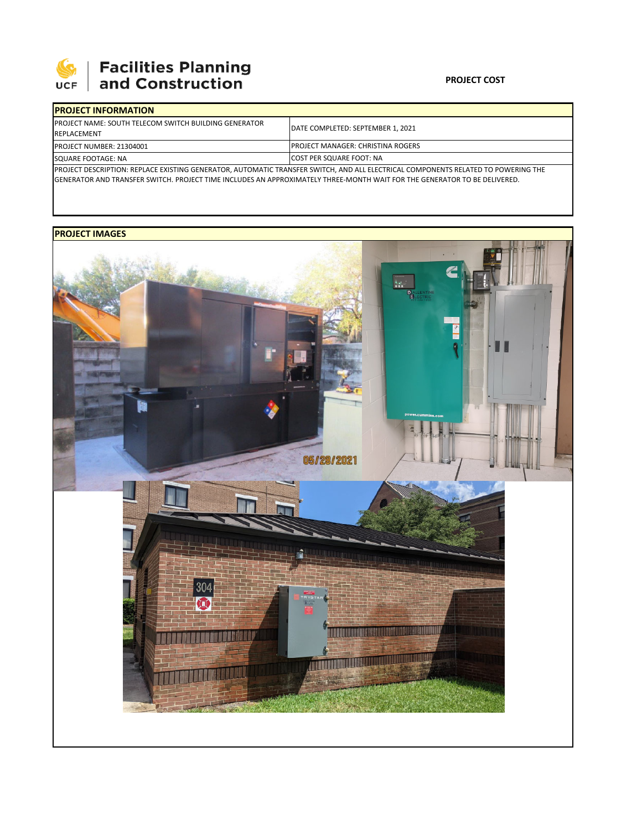

## **SEPTE AND Facilities Planning**<br>UCF and Construction

## **PROJECT COST**

| <b>IPROJECT INFORMATION</b>                                                                                                               |                                           |
|-------------------------------------------------------------------------------------------------------------------------------------------|-------------------------------------------|
| <b>IPROJECT NAME: SOUTH TELECOM SWITCH BUILDING GENERATOR</b><br><b>REPLACEMENT</b>                                                       | <b>IDATE COMPLETED: SEPTEMBER 1. 2021</b> |
| <b>PROJECT NUMBER: 21304001</b>                                                                                                           | <b>IPROJECT MANAGER: CHRISTINA ROGERS</b> |
| SQUARE FOOTAGE: NA                                                                                                                        | <b>COST PER SQUARE FOOT: NA</b>           |
| <b>IPROJECT DESCRIPTION: REPLACE EXISTING GENERATOR, AUTOMATIC TRANSFER SWITCH, AND ALL ELECTRICAL COMPONENTS RELATED TO POWERING THE</b> |                                           |
| <b>IGENERATOR AND TRANSFER SWITCH. PROJECT TIME INCLUDES AN APPROXIMATELY THREE-MONTH WAIT FOR THE GENERATOR TO BE DELIVERED.</b>         |                                           |

## **PROJECT IMAGES**